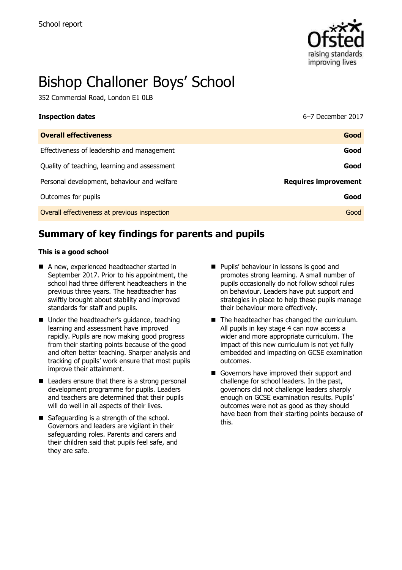

# Bishop Challoner Boys' School

352 Commercial Road, London E1 0LB

| <b>Inspection dates</b>                      | 6-7 December 2017           |
|----------------------------------------------|-----------------------------|
| <b>Overall effectiveness</b>                 | Good                        |
| Effectiveness of leadership and management   | Good                        |
| Quality of teaching, learning and assessment | Good                        |
| Personal development, behaviour and welfare  | <b>Requires improvement</b> |
| Outcomes for pupils                          | Good                        |
| Overall effectiveness at previous inspection | Good                        |

# **Summary of key findings for parents and pupils**

#### **This is a good school**

- A new, experienced headteacher started in September 2017. Prior to his appointment, the school had three different headteachers in the previous three years. The headteacher has swiftly brought about stability and improved standards for staff and pupils.
- Under the headteacher's guidance, teaching learning and assessment have improved rapidly. Pupils are now making good progress from their starting points because of the good and often better teaching. Sharper analysis and tracking of pupils' work ensure that most pupils improve their attainment.
- Leaders ensure that there is a strong personal development programme for pupils. Leaders and teachers are determined that their pupils will do well in all aspects of their lives.
- Safeguarding is a strength of the school. Governors and leaders are vigilant in their safeguarding roles. Parents and carers and their children said that pupils feel safe, and they are safe.
- **Pupils' behaviour in lessons is good and** promotes strong learning. A small number of pupils occasionally do not follow school rules on behaviour. Leaders have put support and strategies in place to help these pupils manage their behaviour more effectively.
- The headteacher has changed the curriculum. All pupils in key stage 4 can now access a wider and more appropriate curriculum. The impact of this new curriculum is not yet fully embedded and impacting on GCSE examination outcomes.
- Governors have improved their support and challenge for school leaders. In the past, governors did not challenge leaders sharply enough on GCSE examination results. Pupils' outcomes were not as good as they should have been from their starting points because of this.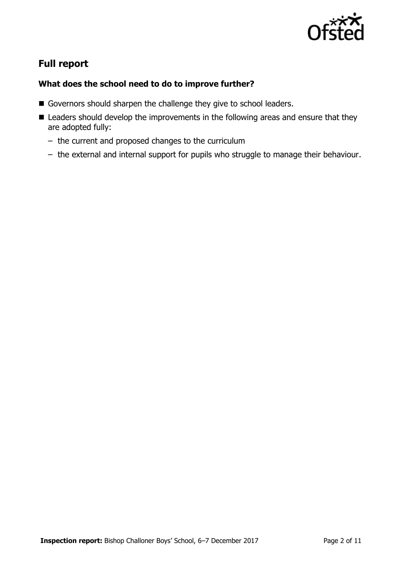

# **Full report**

### **What does the school need to do to improve further?**

- Governors should sharpen the challenge they give to school leaders.
- Leaders should develop the improvements in the following areas and ensure that they are adopted fully:
	- the current and proposed changes to the curriculum
	- the external and internal support for pupils who struggle to manage their behaviour.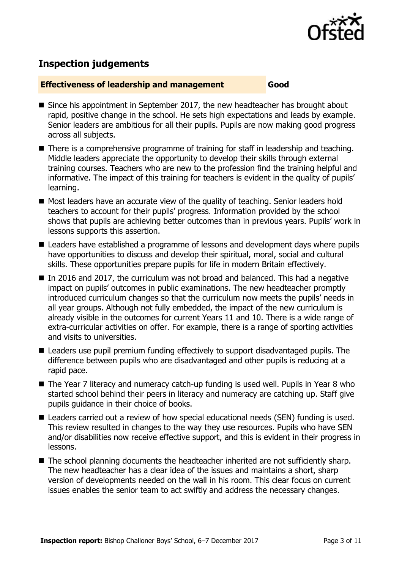

# **Inspection judgements**

#### **Effectiveness of leadership and management Good**

- Since his appointment in September 2017, the new headteacher has brought about rapid, positive change in the school. He sets high expectations and leads by example. Senior leaders are ambitious for all their pupils. Pupils are now making good progress across all subjects.
- There is a comprehensive programme of training for staff in leadership and teaching. Middle leaders appreciate the opportunity to develop their skills through external training courses. Teachers who are new to the profession find the training helpful and informative. The impact of this training for teachers is evident in the quality of pupils' learning.
- Most leaders have an accurate view of the quality of teaching. Senior leaders hold teachers to account for their pupils' progress. Information provided by the school shows that pupils are achieving better outcomes than in previous years. Pupils' work in lessons supports this assertion.
- Leaders have established a programme of lessons and development days where pupils have opportunities to discuss and develop their spiritual, moral, social and cultural skills. These opportunities prepare pupils for life in modern Britain effectively.
- In 2016 and 2017, the curriculum was not broad and balanced. This had a negative impact on pupils' outcomes in public examinations. The new headteacher promptly introduced curriculum changes so that the curriculum now meets the pupils' needs in all year groups. Although not fully embedded, the impact of the new curriculum is already visible in the outcomes for current Years 11 and 10. There is a wide range of extra-curricular activities on offer. For example, there is a range of sporting activities and visits to universities.
- Leaders use pupil premium funding effectively to support disadvantaged pupils. The difference between pupils who are disadvantaged and other pupils is reducing at a rapid pace.
- The Year 7 literacy and numeracy catch-up funding is used well. Pupils in Year 8 who started school behind their peers in literacy and numeracy are catching up. Staff give pupils guidance in their choice of books.
- Leaders carried out a review of how special educational needs (SEN) funding is used. This review resulted in changes to the way they use resources. Pupils who have SEN and/or disabilities now receive effective support, and this is evident in their progress in lessons.
- The school planning documents the headteacher inherited are not sufficiently sharp. The new headteacher has a clear idea of the issues and maintains a short, sharp version of developments needed on the wall in his room. This clear focus on current issues enables the senior team to act swiftly and address the necessary changes.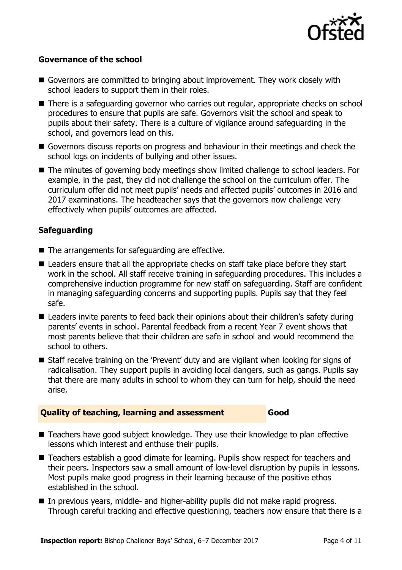

#### **Governance of the school**

- Governors are committed to bringing about improvement. They work closely with school leaders to support them in their roles.
- There is a safeguarding governor who carries out regular, appropriate checks on school procedures to ensure that pupils are safe. Governors visit the school and speak to pupils about their safety. There is a culture of vigilance around safeguarding in the school, and governors lead on this.
- Governors discuss reports on progress and behaviour in their meetings and check the school logs on incidents of bullying and other issues.
- The minutes of governing body meetings show limited challenge to school leaders. For example, in the past, they did not challenge the school on the curriculum offer. The curriculum offer did not meet pupils' needs and affected pupils' outcomes in 2016 and 2017 examinations. The headteacher says that the governors now challenge very effectively when pupils' outcomes are affected.

#### **Safeguarding**

- The arrangements for safeguarding are effective.
- Leaders ensure that all the appropriate checks on staff take place before they start work in the school. All staff receive training in safeguarding procedures. This includes a comprehensive induction programme for new staff on safeguarding. Staff are confident in managing safeguarding concerns and supporting pupils. Pupils say that they feel safe.
- Leaders invite parents to feed back their opinions about their children's safety during parents' events in school. Parental feedback from a recent Year 7 event shows that most parents believe that their children are safe in school and would recommend the school to others.
- Staff receive training on the 'Prevent' duty and are vigilant when looking for signs of radicalisation. They support pupils in avoiding local dangers, such as gangs. Pupils say that there are many adults in school to whom they can turn for help, should the need arise.

#### **Quality of teaching, learning and assessment Good**

- Teachers have good subject knowledge. They use their knowledge to plan effective lessons which interest and enthuse their pupils.
- Teachers establish a good climate for learning. Pupils show respect for teachers and their peers. Inspectors saw a small amount of low-level disruption by pupils in lessons. Most pupils make good progress in their learning because of the positive ethos established in the school.
- In previous years, middle- and higher-ability pupils did not make rapid progress. Through careful tracking and effective questioning, teachers now ensure that there is a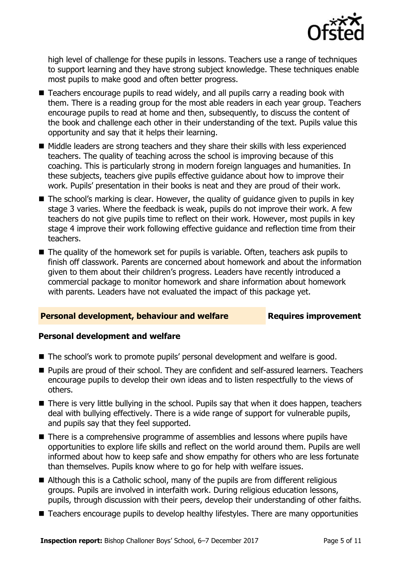

high level of challenge for these pupils in lessons. Teachers use a range of techniques to support learning and they have strong subject knowledge. These techniques enable most pupils to make good and often better progress.

- Teachers encourage pupils to read widely, and all pupils carry a reading book with them. There is a reading group for the most able readers in each year group. Teachers encourage pupils to read at home and then, subsequently, to discuss the content of the book and challenge each other in their understanding of the text. Pupils value this opportunity and say that it helps their learning.
- $\blacksquare$  Middle leaders are strong teachers and they share their skills with less experienced teachers. The quality of teaching across the school is improving because of this coaching. This is particularly strong in modern foreign languages and humanities. In these subjects, teachers give pupils effective guidance about how to improve their work. Pupils' presentation in their books is neat and they are proud of their work.
- The school's marking is clear. However, the quality of guidance given to pupils in key stage 3 varies. Where the feedback is weak, pupils do not improve their work. A few teachers do not give pupils time to reflect on their work. However, most pupils in key stage 4 improve their work following effective guidance and reflection time from their teachers.
- The quality of the homework set for pupils is variable. Often, teachers ask pupils to finish off classwork. Parents are concerned about homework and about the information given to them about their children's progress. Leaders have recently introduced a commercial package to monitor homework and share information about homework with parents. Leaders have not evaluated the impact of this package yet.

#### **Personal development, behaviour and welfare Fig. 2.1 Requires improvement**

#### **Personal development and welfare**

- The school's work to promote pupils' personal development and welfare is good.
- **Pupils are proud of their school. They are confident and self-assured learners. Teachers** encourage pupils to develop their own ideas and to listen respectfully to the views of others.
- There is very little bullying in the school. Pupils say that when it does happen, teachers deal with bullying effectively. There is a wide range of support for vulnerable pupils, and pupils say that they feel supported.
- There is a comprehensive programme of assemblies and lessons where pupils have opportunities to explore life skills and reflect on the world around them. Pupils are well informed about how to keep safe and show empathy for others who are less fortunate than themselves. Pupils know where to go for help with welfare issues.
- Although this is a Catholic school, many of the pupils are from different religious groups. Pupils are involved in interfaith work. During religious education lessons, pupils, through discussion with their peers, develop their understanding of other faiths.
- Teachers encourage pupils to develop healthy lifestyles. There are many opportunities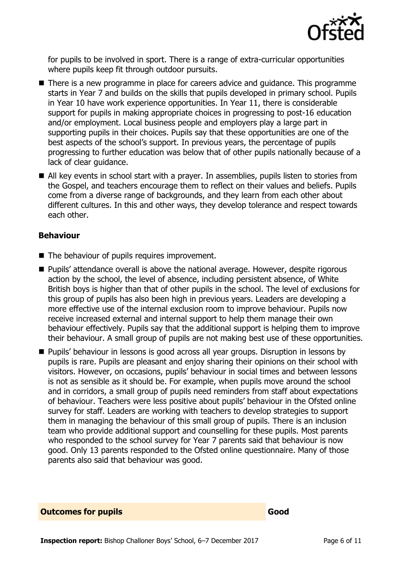

for pupils to be involved in sport. There is a range of extra-curricular opportunities where pupils keep fit through outdoor pursuits.

- There is a new programme in place for careers advice and quidance. This programme starts in Year 7 and builds on the skills that pupils developed in primary school. Pupils in Year 10 have work experience opportunities. In Year 11, there is considerable support for pupils in making appropriate choices in progressing to post-16 education and/or employment. Local business people and employers play a large part in supporting pupils in their choices. Pupils say that these opportunities are one of the best aspects of the school's support. In previous years, the percentage of pupils progressing to further education was below that of other pupils nationally because of a lack of clear guidance.
- All key events in school start with a prayer. In assemblies, pupils listen to stories from the Gospel, and teachers encourage them to reflect on their values and beliefs. Pupils come from a diverse range of backgrounds, and they learn from each other about different cultures. In this and other ways, they develop tolerance and respect towards each other.

#### **Behaviour**

- The behaviour of pupils requires improvement.
- Pupils' attendance overall is above the national average. However, despite rigorous action by the school, the level of absence, including persistent absence, of White British boys is higher than that of other pupils in the school. The level of exclusions for this group of pupils has also been high in previous years. Leaders are developing a more effective use of the internal exclusion room to improve behaviour. Pupils now receive increased external and internal support to help them manage their own behaviour effectively. Pupils say that the additional support is helping them to improve their behaviour. A small group of pupils are not making best use of these opportunities.
- **Pupils' behaviour in lessons is good across all year groups. Disruption in lessons by** pupils is rare. Pupils are pleasant and enjoy sharing their opinions on their school with visitors. However, on occasions, pupils' behaviour in social times and between lessons is not as sensible as it should be. For example, when pupils move around the school and in corridors, a small group of pupils need reminders from staff about expectations of behaviour. Teachers were less positive about pupils' behaviour in the Ofsted online survey for staff. Leaders are working with teachers to develop strategies to support them in managing the behaviour of this small group of pupils. There is an inclusion team who provide additional support and counselling for these pupils. Most parents who responded to the school survey for Year 7 parents said that behaviour is now good. Only 13 parents responded to the Ofsted online questionnaire. Many of those parents also said that behaviour was good.

**Outcomes for pupils Good**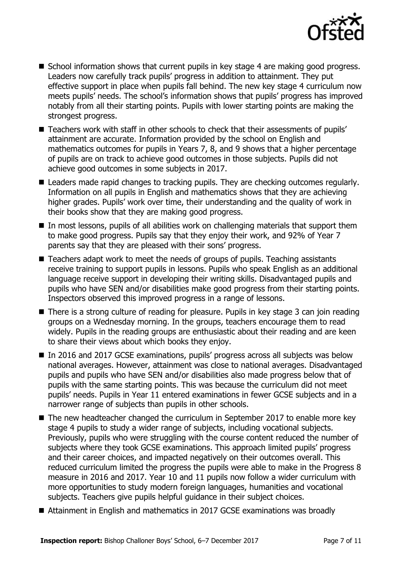

- $\blacksquare$  School information shows that current pupils in key stage 4 are making good progress. Leaders now carefully track pupils' progress in addition to attainment. They put effective support in place when pupils fall behind. The new key stage 4 curriculum now meets pupils' needs. The school's information shows that pupils' progress has improved notably from all their starting points. Pupils with lower starting points are making the strongest progress.
- Teachers work with staff in other schools to check that their assessments of pupils' attainment are accurate. Information provided by the school on English and mathematics outcomes for pupils in Years 7, 8, and 9 shows that a higher percentage of pupils are on track to achieve good outcomes in those subjects. Pupils did not achieve good outcomes in some subjects in 2017.
- Leaders made rapid changes to tracking pupils. They are checking outcomes regularly. Information on all pupils in English and mathematics shows that they are achieving higher grades. Pupils' work over time, their understanding and the quality of work in their books show that they are making good progress.
- $\blacksquare$  In most lessons, pupils of all abilities work on challenging materials that support them to make good progress. Pupils say that they enjoy their work, and 92% of Year 7 parents say that they are pleased with their sons' progress.
- Teachers adapt work to meet the needs of groups of pupils. Teaching assistants receive training to support pupils in lessons. Pupils who speak English as an additional language receive support in developing their writing skills. Disadvantaged pupils and pupils who have SEN and/or disabilities make good progress from their starting points. Inspectors observed this improved progress in a range of lessons.
- There is a strong culture of reading for pleasure. Pupils in key stage 3 can join reading groups on a Wednesday morning. In the groups, teachers encourage them to read widely. Pupils in the reading groups are enthusiastic about their reading and are keen to share their views about which books they enjoy.
- In 2016 and 2017 GCSE examinations, pupils' progress across all subjects was below national averages. However, attainment was close to national averages. Disadvantaged pupils and pupils who have SEN and/or disabilities also made progress below that of pupils with the same starting points. This was because the curriculum did not meet pupils' needs. Pupils in Year 11 entered examinations in fewer GCSE subjects and in a narrower range of subjects than pupils in other schools.
- The new headteacher changed the curriculum in September 2017 to enable more key stage 4 pupils to study a wider range of subjects, including vocational subjects. Previously, pupils who were struggling with the course content reduced the number of subjects where they took GCSE examinations. This approach limited pupils' progress and their career choices, and impacted negatively on their outcomes overall. This reduced curriculum limited the progress the pupils were able to make in the Progress 8 measure in 2016 and 2017. Year 10 and 11 pupils now follow a wider curriculum with more opportunities to study modern foreign languages, humanities and vocational subjects. Teachers give pupils helpful guidance in their subject choices.
- Attainment in English and mathematics in 2017 GCSE examinations was broadly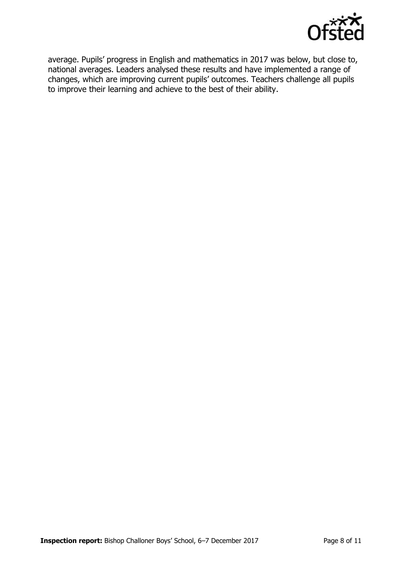

average. Pupils' progress in English and mathematics in 2017 was below, but close to, national averages. Leaders analysed these results and have implemented a range of changes, which are improving current pupils' outcomes. Teachers challenge all pupils to improve their learning and achieve to the best of their ability.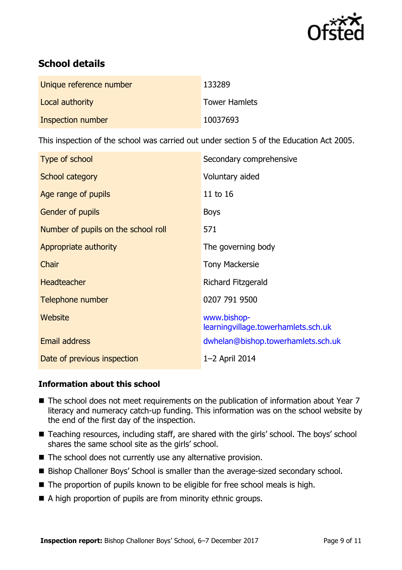

# **School details**

| Unique reference number | 133289               |
|-------------------------|----------------------|
| Local authority         | <b>Tower Hamlets</b> |
| Inspection number       | 10037693             |

This inspection of the school was carried out under section 5 of the Education Act 2005.

| Type of school                      | Secondary comprehensive                            |
|-------------------------------------|----------------------------------------------------|
| School category                     | Voluntary aided                                    |
| Age range of pupils                 | 11 to 16                                           |
| Gender of pupils                    | <b>Boys</b>                                        |
| Number of pupils on the school roll | 571                                                |
| Appropriate authority               | The governing body                                 |
| Chair                               | <b>Tony Mackersie</b>                              |
| Headteacher                         | Richard Fitzgerald                                 |
| Telephone number                    | 0207 791 9500                                      |
| Website                             | www.bishop-<br>learningvillage.towerhamlets.sch.uk |
| Email address                       | dwhelan@bishop.towerhamlets.sch.uk                 |
| Date of previous inspection         | 1-2 April 2014                                     |

#### **Information about this school**

- The school does not meet requirements on the publication of information about Year 7 literacy and numeracy catch-up funding. This information was on the school website by the end of the first day of the inspection.
- Teaching resources, including staff, are shared with the girls' school. The boys' school shares the same school site as the girls' school.
- $\blacksquare$  The school does not currently use any alternative provision.
- Bishop Challoner Boys' School is smaller than the average-sized secondary school.
- The proportion of pupils known to be eligible for free school meals is high.
- A high proportion of pupils are from minority ethnic groups.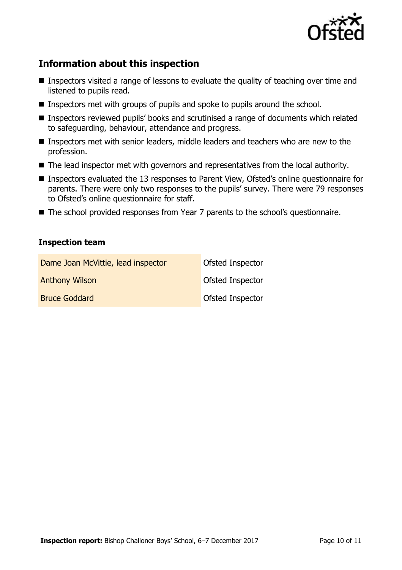

# **Information about this inspection**

- Inspectors visited a range of lessons to evaluate the quality of teaching over time and listened to pupils read.
- Inspectors met with groups of pupils and spoke to pupils around the school.
- Inspectors reviewed pupils' books and scrutinised a range of documents which related to safeguarding, behaviour, attendance and progress.
- Inspectors met with senior leaders, middle leaders and teachers who are new to the profession.
- The lead inspector met with governors and representatives from the local authority.
- Inspectors evaluated the 13 responses to Parent View, Ofsted's online questionnaire for parents. There were only two responses to the pupils' survey. There were 79 responses to Ofsted's online questionnaire for staff.
- The school provided responses from Year 7 parents to the school's questionnaire.

#### **Inspection team**

| Dame Joan McVittie, lead inspector | Ofsted Inspector        |
|------------------------------------|-------------------------|
| <b>Anthony Wilson</b>              | Ofsted Inspector        |
| <b>Bruce Goddard</b>               | <b>Ofsted Inspector</b> |